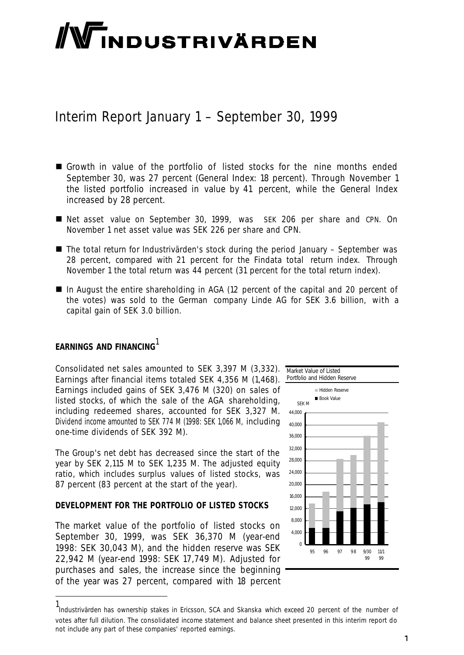# **/Windustrivärden**

### Interim Report January 1 – September 30, 1999

- n Growth in value of the portfolio of listed stocks for the nine months ended September 30, was 27 percent (General Index: 18 percent). Through November 1 the listed portfolio increased in value by 41 percent, while the General Index increased by 28 percent.
- n Net asset value on September 30, 1999, was SEK 206 per share and CPN. On November 1 net asset value was SEK 226 per share and CPN.
- The total return for Industrivärden's stock during the period January September was 28 percent, compared with 21 percent for the Findata total return index. Through November 1 the total return was 44 percent (31 percent for the total return index).
- n In August the entire shareholding in AGA (12 percent of the capital and 20 percent of the votes) was sold to the German company Linde AG for SEK 3.6 billion, with a capital gain of SEK 3.0 billion.

### **EARNINGS AND FINANCING**<sup>1</sup>

l

Consolidated net sales amounted to SEK 3,397 M (3,332). Earnings after financial items totaled SEK 4,356 M (1,468). Earnings included gains of SEK 3,476 M (320) on sales of listed stocks, of which the sale of the AGA shareholding, including redeemed shares, accounted for SEK 3,327 M. Dividend income amounted to SEK 774 M (1998: SEK 1,066 M, including one-time dividends of SEK 392 M).

The Group's net debt has decreased since the start of the year by SEK 2,115 M to SEK 1,235 M. The adjusted equity ratio, which includes surplus values of listed stocks, was 87 percent (83 percent at the start of the year).

### **DEVELOPMENT FOR THE PORTFOLIO OF LISTED STOCKS**

The market value of the portfolio of listed stocks on September 30, 1999, was SEK 36,370 M (year-end 1998: SEK 30,043 M), and the hidden reserve was SEK 22,942 M (year-end 1998: SEK 17,749 M). Adjusted for purchases and sales, the increase since the beginning of the year was 27 percent, compared with 18 percent



<sup>1</sup> Industrivärden has ownership stakes in Ericsson, SCA and Skanska which exceed 20 percent of the number of votes after full dilution. The consolidated income statement and balance sheet presented in this interim report do not include any part of these companies' reported earnings.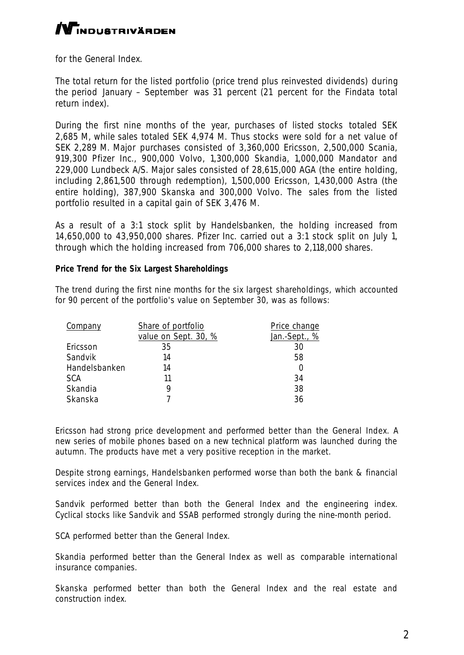### **/V**INDUSTRIVÄRDEN

for the General Index.

The total return for the listed portfolio (price trend plus reinvested dividends) during the period January – September was 31 percent (21 percent for the Findata total return index).

During the first nine months of the year, purchases of listed stocks totaled SEK 2,685 M, while sales totaled SEK 4,974 M. Thus stocks were sold for a net value of SEK 2,289 M. Major purchases consisted of 3,360,000 Ericsson, 2,500,000 Scania, 919,300 Pfizer Inc., 900,000 Volvo, 1,300,000 Skandia, 1,000,000 Mandator and 229,000 Lundbeck A/S. Major sales consisted of 28,615,000 AGA (the entire holding, including 2,861,500 through redemption), 1,500,000 Ericsson, 1,430,000 Astra (the entire holding), 387,900 Skanska and 300,000 Volvo. The sales from the listed portfolio resulted in a capital gain of SEK 3,476 M.

As a result of a 3:1 stock split by Handelsbanken, the holding increased from 14,650,000 to 43,950,000 shares. Pfizer Inc. carried out a 3:1 stock split on July 1, through which the holding increased from 706,000 shares to 2,118,000 shares.

### **Price Trend for the Six Largest Shareholdings**

The trend during the first nine months for the six largest shareholdings, which accounted for 90 percent of the portfolio's value on September 30, was as follows:

| Company        | Share of portfolio   | Price change  |
|----------------|----------------------|---------------|
|                | value on Sept. 30, % | Jan.-Sept., % |
| Ericsson       | 35                   | 30            |
| <b>Sandvik</b> | 14                   | 58            |
| Handelsbanken  | 14                   |               |
| <b>SCA</b>     | 11                   | 34            |
| <b>Skandia</b> | 9                    | 38            |
| Skanska        | 7                    | 36            |

Ericsson had strong price development and performed better than the General Index. A new series of mobile phones based on a new technical platform was launched during the autumn. The products have met a very positive reception in the market.

Despite strong earnings, Handelsbanken performed worse than both the bank & financial services index and the General Index.

Sandvik performed better than both the General Index and the engineering index. Cyclical stocks like Sandvik and SSAB performed strongly during the nine-month period.

SCA performed better than the General Index.

Skandia performed better than the General Index as well as comparable international insurance companies.

Skanska performed better than both the General Index and the real estate and construction index.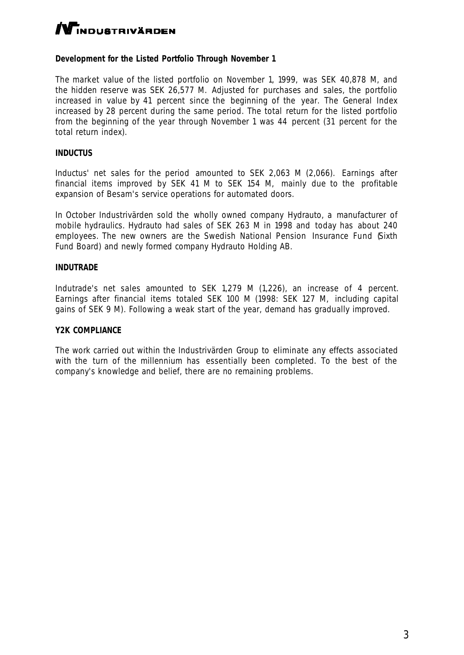### **N**INDUSTRIVÄRDEN

### **Development for the Listed Portfolio Through November 1**

The market value of the listed portfolio on November 1, 1999, was SEK 40,878 M, and the hidden reserve was SEK 26,577 M. Adjusted for purchases and sales, the portfolio increased in value by 41 percent since the beginning of the year. The General Index increased by 28 percent during the same period. The total return for the listed portfolio from the beginning of the year through November 1 was 44 percent (31 percent for the total return index).

### **INDUCTUS**

Inductus' net sales for the period amounted to SEK 2,063 M (2,066). Earnings after financial items improved by SEK 41 M to SEK 154 M, mainly due to the profitable expansion of Besam's service operations for automated doors.

In October Industrivärden sold the wholly owned company Hydrauto, a manufacturer of mobile hydraulics. Hydrauto had sales of SEK 263 M in 1998 and today has about 240 employees. The new owners are the Swedish National Pension Insurance Fund Sixth Fund Board) and newly formed company Hydrauto Holding AB.

#### **INDUTRADE**

Indutrade's net sales amounted to SEK 1,279 M (1,226), an increase of 4 percent. Earnings after financial items totaled SEK 100 M (1998: SEK 127 M, including capital gains of SEK 9 M). Following a weak start of the year, demand has gradually improved.

#### **Y2K COMPLIANCE**

The work carried out within the Industrivärden Group to eliminate any effects associated with the turn of the millennium has essentially been completed. To the best of the company's knowledge and belief, there are no remaining problems.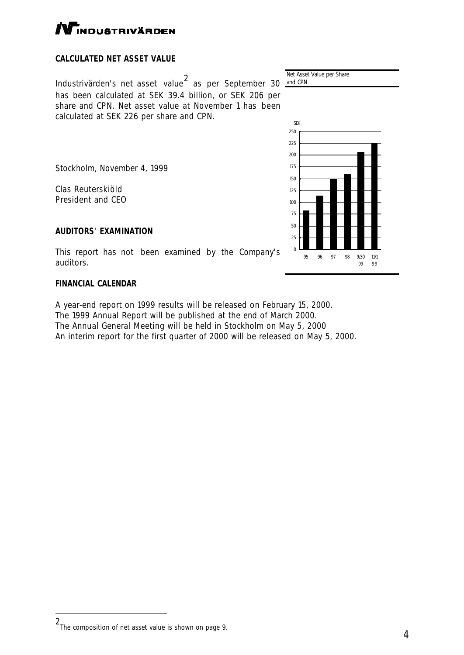l

## $\Gamma$ NDUSTRIVÄRDEN

### **CALCULATED NET ASSET VALUE**

Industrivärden's net asset value<sup>2</sup> as per September 30 and CPN has been calculated at SEK 39.4 billion, or SEK 206 per share and CPN. Net asset value at November 1 has been calculated at SEK 226 per share and CPN.

Stockholm, November 4, 1999

Clas Reuterskiöld President and CEO

### **AUDITORS' EXAMINATION**

This report has not been examined by the Company's auditors.

### **FINANCIAL CALENDAR**

A year-end report on 1999 results will be released on February 15, 2000. The 1999 Annual Report will be published at the end of March 2000. The Annual General Meeting will be held in Stockholm on May 5, 2000 An interim report for the first quarter of 2000 will be released on May 5, 2000.

Net Asset Value per Share



4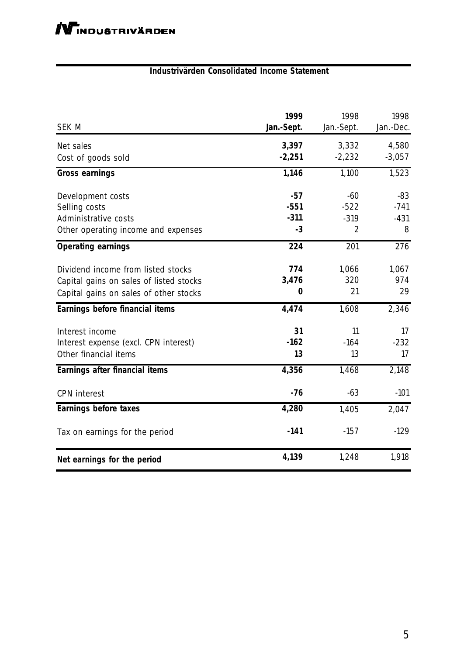### **Industrivärden Consolidated Income Statement**

| <b>SEK M</b>                            | 1999<br>Jan.-Sept. | 1998<br>Jan.-Sept. | 1998<br>Jan.-Dec. |
|-----------------------------------------|--------------------|--------------------|-------------------|
| Net sales                               | 3,397              | 3,332              | 4,580             |
| Cost of goods sold                      | $-2,251$           | $-2,232$           | $-3,057$          |
| <b>Gross earnings</b>                   | 1,146              | 1,100              | 1,523             |
| Development costs                       | $-57$              | $-60$              | $-83$             |
| Selling costs                           | $-551$             | $-522$             | $-741$            |
| <b>Administrative costs</b>             | $-311$             | $-319$             | $-431$            |
| Other operating income and expenses     | $-3$               | 2                  | 8                 |
| <b>Operating earnings</b>               | 224                | 201                | 276               |
| Dividend income from listed stocks      | 774                | 1,066              | 1,067             |
| Capital gains on sales of listed stocks | 3,476              | 320                | 974               |
| Capital gains on sales of other stocks  | $\bf{0}$           | 21                 | 29                |
| <b>Earnings before financial items</b>  | 4,474              | 1,608              | 2,346             |
| Interest income                         | 31                 | 11                 | 17                |
| Interest expense (excl. CPN interest)   | $-162$             | $-164$             | $-232$            |
| Other financial items                   | 13                 | 13                 | 17                |
| <b>Earnings after financial items</b>   | 4,356              | 1,468              | 2,148             |
| <b>CPN</b> interest                     | $-76$              | $-63$              | $-101$            |
| <b>Earnings before taxes</b>            | 4,280              | 1,405              | 2,047             |
| Tax on earnings for the period          | $-141$             | $-157$             | $-129$            |
| Net earnings for the period             | 4,139              | 1,248              | 1,918             |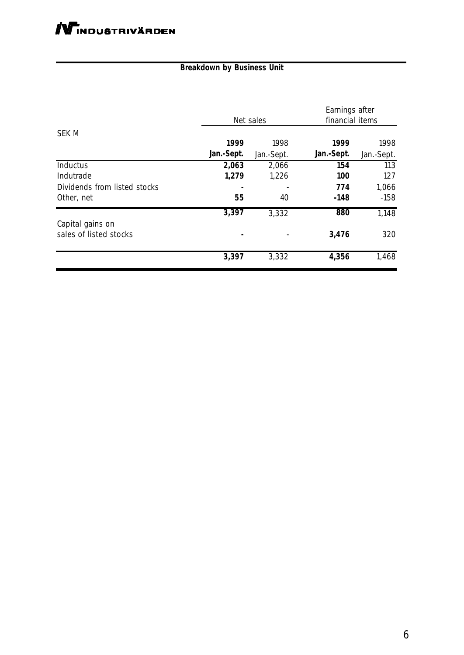### **Breakdown by Business Unit**

|                              |            | Net sales  | Earnings after<br>financial items |            |
|------------------------------|------------|------------|-----------------------------------|------------|
| <b>SEK M</b>                 |            |            |                                   |            |
|                              | 1999       | 1998       | 1999                              | 1998       |
|                              | Jan.-Sept. | Jan.-Sept. | Jan.-Sept.                        | Jan.-Sept. |
| <b>Inductus</b>              | 2,063      | 2,066      | 154                               | 113        |
| Indutrade                    | 1,279      | 1,226      | <b>100</b>                        | 127        |
| Dividends from listed stocks |            |            | 774                               | 1,066      |
| Other, net                   | 55         | 40         | $-148$                            | $-158$     |
|                              | 3,397      | 3,332      | 880                               | 1,148      |
| Capital gains on             |            |            |                                   |            |
| sales of listed stocks       | ٠          |            | 3,476                             | 320        |
|                              | 3,397      | 3,332      | 4,356                             | 1,468      |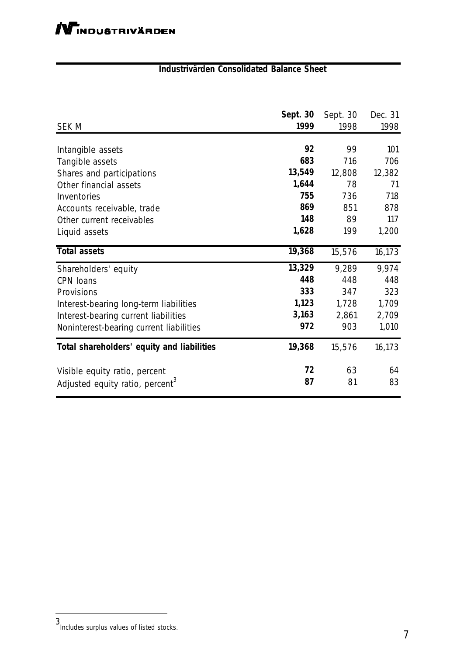### **Industrivärden Consolidated Balance Sheet**

|                                             | <b>Sept. 30</b> | Sept. 30 | Dec. 31 |
|---------------------------------------------|-----------------|----------|---------|
| <b>SEK M</b>                                | 1999            | 1998     | 1998    |
|                                             |                 |          |         |
| Intangible assets                           | 92              | 99       | 101     |
| Tangible assets                             | 683             | 716      | 706     |
| Shares and participations                   | 13,549          | 12,808   | 12,382  |
| Other financial assets                      | 1,644           | 78       | 71      |
| <b>Inventories</b>                          | 755             | 736      | 718     |
| Accounts receivable, trade                  | 869             | 851      | 878     |
| Other current receivables                   | 148             | 89       | 117     |
| Liquid assets                               | 1,628           | 199      | 1,200   |
| <b>Total assets</b>                         | 19,368          | 15,576   | 16,173  |
| Shareholders' equity                        | 13,329          | 9,289    | 9,974   |
| <b>CPN</b> loans                            | 448             | 448      | 448     |
| Provisions                                  | 333             | 347      | 323     |
| Interest-bearing long-term liabilities      | 1,123           | 1,728    | 1,709   |
| Interest-bearing current liabilities        | 3,163           | 2,861    | 2,709   |
| Noninterest-bearing current liabilities     | 972             | 903      | 1,010   |
| Total shareholders' equity and liabilities  | 19,368          | 15,576   | 16,173  |
| Visible equity ratio, percent               | 72              | 63       | 64      |
| Adjusted equity ratio, percent <sup>3</sup> | 87              | 81       | 83      |

l

<sup>3</sup> Includes surplus values of listed stocks.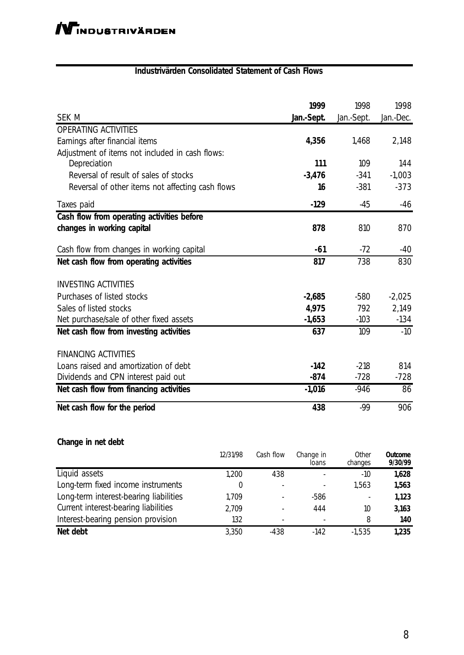| <b>Industrivärden Consolidated Statement of Cash Flows</b> |  |  |  |  |  |  |
|------------------------------------------------------------|--|--|--|--|--|--|
|------------------------------------------------------------|--|--|--|--|--|--|

|                                                  | 1999      | 1998       | 1998      |
|--------------------------------------------------|-----------|------------|-----------|
| <b>SEK M</b>                                     | Jan-Sept. | Jan.-Sept. | Jan.-Dec. |
| <b>OPERATING ACTIVITIES</b>                      |           |            |           |
| Earnings after financial items                   | 4,356     | 1,468      | 2,148     |
| Adjustment of items not included in cash flows:  |           |            |           |
| Depreciation                                     | 111       | 109        | 144       |
| Reversal of result of sales of stocks            | $-3,476$  | $-341$     | $-1,003$  |
| Reversal of other items not affecting cash flows | 16        | $-381$     | $-373$    |
| Taxes paid                                       | $-129$    | $-45$      | $-46$     |
| Cash flow from operating activities before       |           |            |           |
| changes in working capital                       | 878       | 810        | 870       |
| Cash flow from changes in working capital        | $-61$     | $-72$      | $-40$     |
| Net cash flow from operating activities          | 817       | 738        | 830       |
| <b>INVESTING ACTIVITIES</b>                      |           |            |           |
| <b>Purchases of listed stocks</b>                | $-2,685$  | $-580$     | $-2,025$  |
| Sales of listed stocks                           | 4,975     | 792        | 2,149     |
| Net purchase/sale of other fixed assets          | $-1,653$  | $-103$     | $-134$    |
| Net cash flow from investing activities          | 637       | 109        | $-10$     |
| <b>FINANCING ACTIVITIES</b>                      |           |            |           |
| Loans raised and amortization of debt            | $-142$    | $-218$     | 814       |
| Dividends and CPN interest paid out              | $-874$    | $-728$     | $-728$    |
| Net cash flow from financing activities          | $-1,016$  | $-946$     | 86        |
| Net cash flow for the period                     | 438       | $-99$      | 906       |

### **Change in net debt**

|                                             | 12/31/98 | Cash flow                | Change in<br>loans | <b>Other</b><br>changes | <b>Outcome</b><br>9/30/99 |
|---------------------------------------------|----------|--------------------------|--------------------|-------------------------|---------------------------|
| Liquid assets                               | 1,200    | 438                      |                    | -10                     | 1,628                     |
| Long-term fixed income instruments          | 0        | $\overline{\phantom{a}}$ |                    | 1,563                   | 1,563                     |
| Long-term interest-bearing liabilities      | 1,709    | ۰                        | $-586$             | ۰                       | 1,123                     |
| <b>Current interest-bearing liabilities</b> | 2,709    | $\overline{\phantom{0}}$ | 444                | 10                      | 3,163                     |
| Interest-bearing pension provision          | 132      | $\overline{\phantom{a}}$ |                    | 8                       | <b>140</b>                |
| Net debt                                    | 3,350    | $-438$                   | $-142$             | $-1,535$                | 1,235                     |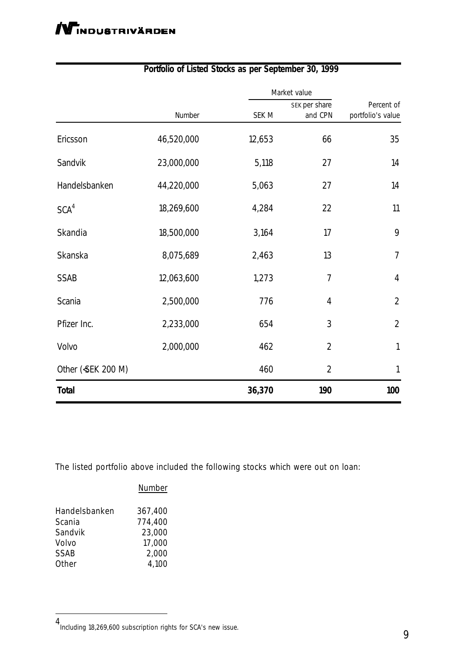|                   |            |              | Market value                    |                                 |
|-------------------|------------|--------------|---------------------------------|---------------------------------|
|                   | Number     | <b>SEK M</b> | <b>SEK per share</b><br>and CPN | Percent of<br>portfolio's value |
| Ericsson          | 46,520,000 | 12,653       | 66                              | 35                              |
| Sandvik           | 23,000,000 | 5,118        | 27                              | 14                              |
| Handelsbanken     | 44,220,000 | 5,063        | 27                              | 14                              |
| SCA <sup>4</sup>  | 18,269,600 | 4,284        | 22                              | 11                              |
| <b>Skandia</b>    | 18,500,000 | 3,164        | 17                              | 9                               |
| <b>Skanska</b>    | 8,075,689  | 2,463        | 13                              | $\boldsymbol{7}$                |
| <b>SSAB</b>       | 12,063,600 | 1,273        | 7                               | $\boldsymbol{4}$                |
| <b>Scania</b>     | 2,500,000  | 776          | $\boldsymbol{4}$                | $\boldsymbol{2}$                |
| Pfizer Inc.       | 2,233,000  | 654          | 3                               | $\overline{2}$                  |
| <b>Volvo</b>      | 2,000,000  | 462          | $\boldsymbol{2}$                | $\mathbf{1}$                    |
| Other (SEK 200 M) |            | 460          | $\boldsymbol{2}$                | $\mathbf{1}$                    |
| <b>Total</b>      |            | 36,370       | <b>190</b>                      | 100                             |

### **Portfolio of Listed Stocks as per September 30, 1999**

The listed portfolio above included the following stocks which were out on loan:

|               | <b>Number</b> |
|---------------|---------------|
| Handelsbanken | 367,400       |
| Scania        | 774,400       |
| Sandvik       | 23,000        |
| Volvo         | 17,000        |
| SSAB          | 2,000         |
| Other         | 4,100         |
|               |               |

l

<sup>4</sup> Including 18,269,600 subscription rights for SCA's new issue.